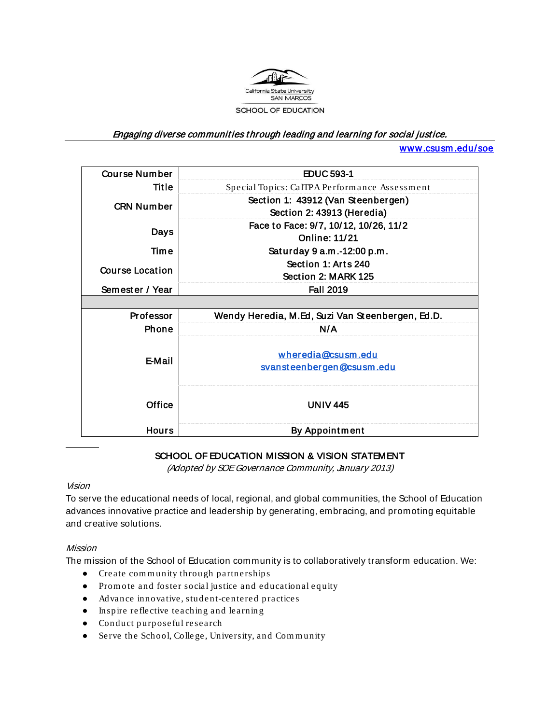

#### Engaging diverse communities through leading and learning for social justice.

[www.csusm .edu/soe](http://www.csusm.edu/soe) 

| <b>Course Number</b> | <b>EDUC 593-1</b>                                                |  |  |
|----------------------|------------------------------------------------------------------|--|--|
| <b>Title</b>         | Special Topics: CalTPA Performance Assessment                    |  |  |
| <b>CRN Number</b>    | Section 1: 43912 (Van Steenbergen)<br>Section 2: 43913 (Heredia) |  |  |
| Days                 | Face to Face: 9/7, 10/12, 10/26, 11/2<br><b>Online: 11/21</b>    |  |  |
| Time                 | Saturday 9 a.m.-12:00 p.m.                                       |  |  |
| Course Location      | Section 1: Arts 240<br>Section 2: MARK 125                       |  |  |
| Semester / Year      | <b>Fall 2019</b>                                                 |  |  |
|                      |                                                                  |  |  |
| <b>Professor</b>     | Wendy Heredia, M.Ed, Suzi Van Steenbergen, Ed.D.                 |  |  |
| Phone                | N/A                                                              |  |  |
| E-Mail               | wheredia@csusm.edu<br>svansteenbergen@csusm.edu                  |  |  |
| Office               | <b>UNIV 445</b>                                                  |  |  |
| <b>Hours</b>         | <b>By Appointment</b>                                            |  |  |

#### SCHOOL OF EDUCATION MISSION & VISION STATEMENT

(Adopted by SOE Governance Community, January 2013)

#### Vision

To serve the educational needs of local, regional, and global communities, the School of Education advances innovative practice and leadership by generating, embracing, and promoting equitable and creative solutions.

#### Mission

The mission of the School of Education community is to collaboratively transform education. We:

- Create com m unity throu gh partnerships
- Promote and foster social justice and educational equity
- Advance innovative, student-centered practices
- Inspire reflective teaching and learnin g
- Conduct purp oseful research
- Serve the School, Colle ge, University, and Com m unity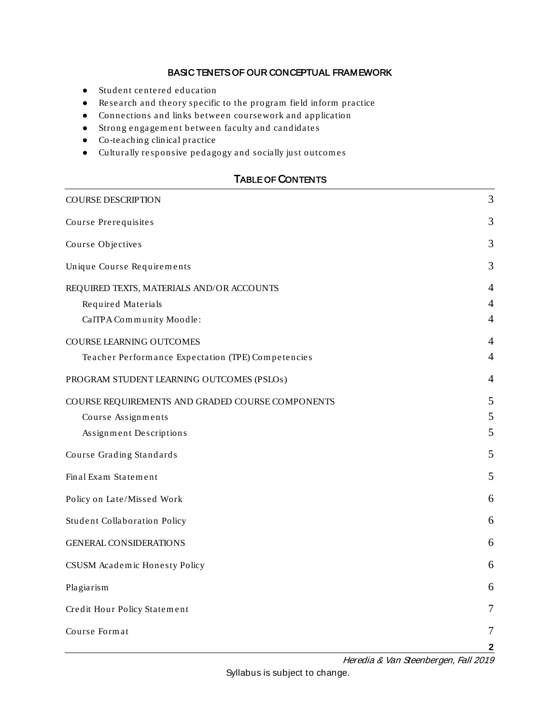#### BASIC TENETS OF OUR CONCEPTUAL FRAMEWORK

- Student centered education
- Research and theory specific to the program field inform practice
- Connections and links between coursework and application
- Strong en gagem ent between faculty and candidate s
- Co-teachin g clinical practice
- Culturally responsive pedagogy and socially just outcom es

## TABLE OF CONTENTS

| <b>COURSE DESCRIPTION</b>                          | 3              |
|----------------------------------------------------|----------------|
| Course Prerequisites                               | 3              |
| Course Objectives                                  | 3              |
| Unique Course Requirements                         | 3              |
| REQUIRED TEXTS, MATERIALS AND/OR ACCOUNTS          | $\overline{4}$ |
| Required Materials                                 | $\overline{4}$ |
| CalTPA Community Moodle:                           | 4              |
| COURSE LEARNING OUTCOMES                           | 4              |
| Teacher Performance Expectation (TPE) Competencies | $\overline{4}$ |
| PROGRAM STUDENT LEARNING OUTCOMES (PSLOs)          | 4              |
| COURSE REQUIREMENTS AND GRADED COURSE COMPONENTS   | 5              |
| Course Assignments                                 | 5              |
| Assignment Descriptions                            | 5              |
| Course Grading Standards                           | 5              |
| Final Exam Statement                               | 5              |
| Policy on Late/Missed Work                         | 6              |
| Student Collaboration Policy                       | 6              |
| <b>GENERAL CONSIDERATIONS</b>                      | 6              |
| CSUSM Academic Honesty Policy                      | 6              |
| Plagiarism                                         | 6              |
| Credit Hour Policy Statement                       | $\overline{7}$ |
| Course Format                                      | 7              |
|                                                    | $\mathbf{2}$   |

Heredia & Van Steenbergen, Fall 2019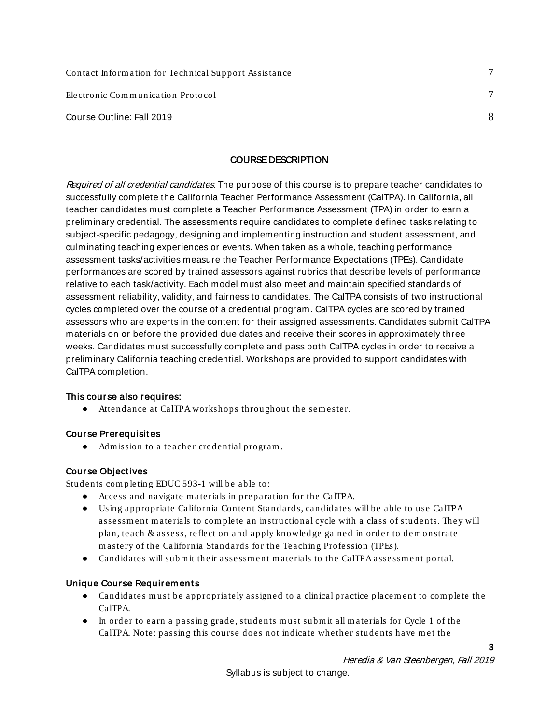| Contact Information for Technical Support Assistance |  |
|------------------------------------------------------|--|
| Electronic Communication Protocol                    |  |
| Course Outline: Fall 2019                            |  |

#### COURSE DESCRIPTION

<span id="page-2-0"></span>Required of all credential candidates. The purpose of this course is to prepare teacher candidates to successfully complete the California Teacher Performance Assessment (CalTPA). In California, all teacher candidates must complete a Teacher Performance Assessment (TPA) in order to earn a preliminary credential. The assessments require candidates to complete defined tasks relating to subject-specific pedagogy, designing and implementing instruction and student assessment, and culminating teaching experiences or events. When taken as a whole, teaching performance assessment tasks/activities measure the Teacher Performance Expectations (TPEs). Candidate performances are scored by trained assessors against rubrics that describe levels of performance relative to each task/activity. Each model must also meet and maintain specified standards of assessment reliability, validity, and fairness to candidates. The CalTPA consists of two instructional cycles completed over the course of a credential program. CalTPA cycles are scored by trained assessors who are experts in the content for their assigned assessments. Candidates submit CalTPA materials on or before the provided due dates and receive their scores in approximately three weeks. Candidates must successfully complete and pass both CalTPA cycles in order to receive a preliminary California teaching credential. Workshops are provided to support candidates with CalTPA completion.

#### This course also requires:

● Attendance at CalTPA workshops through out the sem ester.

#### <span id="page-2-1"></span>Course Prerequisit es

● Adm ission to a teacher credential program .

#### <span id="page-2-2"></span>Course Object ives

Students com pletin g EDUC 593-1 will be able to:

- Access and navigate m aterials in preparation for the CalTPA.
- Using appropriate California Content Standards, candidates will be able to use CalTPA assessm ent m aterials to com plete an instructional cycle with a class of students. They will plan, teach & assess, reflect on and apply knowledge gained in order to dem onstrate mastery of the California Standards for the Teaching Profession (TPEs).
- Candidates will submit their assessment materials to the CalTPA assessment portal.

#### <span id="page-2-3"></span>Unique Course Requirem ents

- Candid ates m ust be appropriately assigned to a clinical practice placem ent to com plete the CalTPA.
- In order to earn a passing grade, students must submit all materials for Cycle 1 of the CalTPA. Note: passing this course does not indicate whether students have met the

Heredia & Van Steenbergen, Fall 2019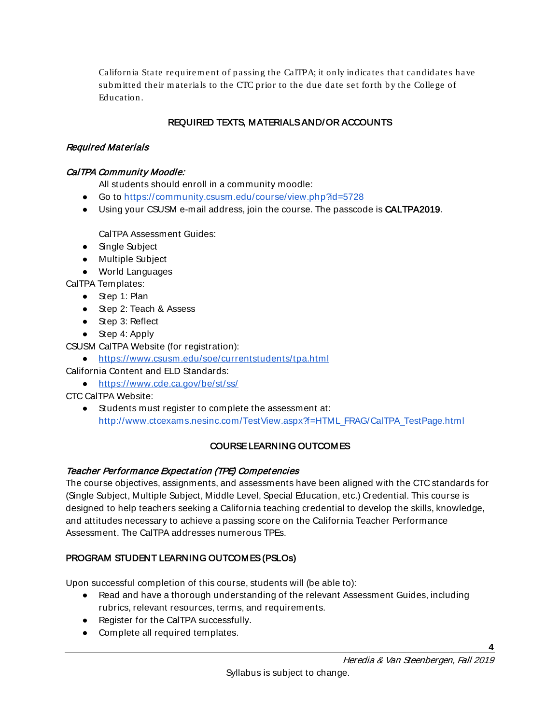California State requirem ent of passing the CalTPA; it only indicates that candidates have subm itted their m aterials to the CTC prior to the due date set forth by the College of Education.

# REQUIRED TEXTS, MATERIALS AND/OR ACCOUNTS

#### <span id="page-3-1"></span><span id="page-3-0"></span>Required Mat erials

### <span id="page-3-2"></span>CalTPA Community Moodle:

All students should enroll in a community moodle:

- Go to<https://community.csusm.edu/course/view.php?id=5728>
- Using your CSUSM e-mail address, join the course. The passcode is **CALTPA2019**.

CalTPA Assessment Guides:

- Single Subject
- Multiple Subject
- World Languages

CalTPA Templates:

- Step 1: Plan
- Step 2: Teach & Assess
- Step 3: Reflect
- Step 4: Apply

CSUSM CalTPA Website (for registration):

● <https://www.csusm.edu/soe/currentstudents/tpa.html>

- California Content and ELD Standards:
	- <https://www.cde.ca.gov/be/st/ss/>

CTC CalTPA Website:

● Students must register to complete the assessment at: [http://www.ctcexams.nesinc.com/TestView.aspx?f=HTML\\_FRAG/CalTPA\\_TestPage.html](http://www.ctcexams.nesinc.com/TestView.aspx?f=HTML_FRAG/CalTPA_TestPage.html)

# COURSE LEARNING OUTCOMES

#### <span id="page-3-4"></span><span id="page-3-3"></span>Teacher Performance Expectation (TPE) Compet encies

The course objectives, assignments, and assessments have been aligned with the CTC standards for (Single Subject, Multiple Subject, Middle Level, Special Education, etc.) Credential. This course is designed to help teachers seeking a California teaching credential to develop the skills, knowledge, and attitudes necessary to achieve a passing score on the California Teacher Performance Assessment. The CalTPA addresses numerous TPEs.

# <span id="page-3-5"></span>PROGRAM STUDENT LEARNING OUTCOMES (PSLOs)

Upon successful completion of this course, students will (be able to):

- Read and have a thorough understanding of the relevant Assessment Guides, including rubrics, relevant resources, terms, and requirements.
- Register for the CalTPA successfully.
- Complete all required templates.

**4**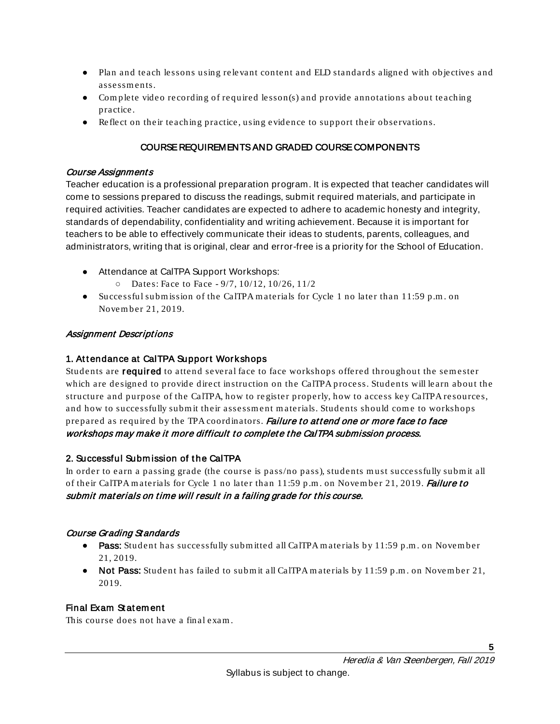- Plan and teach lessons using relevant content and ELD standards aligned with objectives and assessments.
- Complete video recording of required lesson(s) and provide annotations about teaching practice.
- Reflect on their teaching practice, using evidence to support their observations.

### COURSE REQUIREMENTS AND GRADED COURSE COMPONENTS

#### <span id="page-4-1"></span><span id="page-4-0"></span>Course Assignments

Teacher education is a professional preparation program. It is expected that teacher candidates will come to sessions prepared to discuss the readings, submit required materials, and participate in required activities. Teacher candidates are expected to adhere to academic honesty and integrity, standards of dependability, confidentiality and writing achievement. Because it is important for teachers to be able to effectively communicate their ideas to students, parents, colleagues, and administrators, writing that is original, clear and error-free is a priority for the School of Education.

- Attendance at CalTPA Support Workshops:
	- Dates: Face to Face 9/7, 10/12, 10/26, 11/2
- Successful subm ission of the CalTPA m aterials for Cycle 1 no later than 11:59 p.m . on Novem ber 21, 2019.

## <span id="page-4-2"></span>Assignment Descriptions

## 1. Attendance at CalTPA Support Workshops

Students are required to attend several face to face workshops offered throughout the semester which are designed to provide direct instruction on the CalTPA process. Students will learn about the structure and purpose of the CalTPA, how to re gister properly, how to access key CalTPA resources, and how to successfully submit their assessment materials. Students should come to workshops prepared as required by the TPA coordinators. Failure to attend one or more face to face workshops may make it more difficult to complete the CalTPA submission process.

#### 2. Successful Subm ission of t he CalTPA

In order to earn a passing grade (the course is pass/no pass), students must successfully submit all of their CalTPA m aterials for Cycle 1 no later than 11:59 p.m. on November 21, 2019. Failure to submit materials on time will result in a failing grade for this course.

#### <span id="page-4-3"></span>Course Grading Standards

- Pass: Student has successfully subm itted all CalTPA m aterials by 11:59 p.m . on Novem ber 21, 2019.
- Not Pass: Student has failed to subm it all CalTPA m aterials by 11:59 p.m . on Novem ber 21, 2019.

#### <span id="page-4-4"></span>Final Exam Statement

This course does not have a final exam .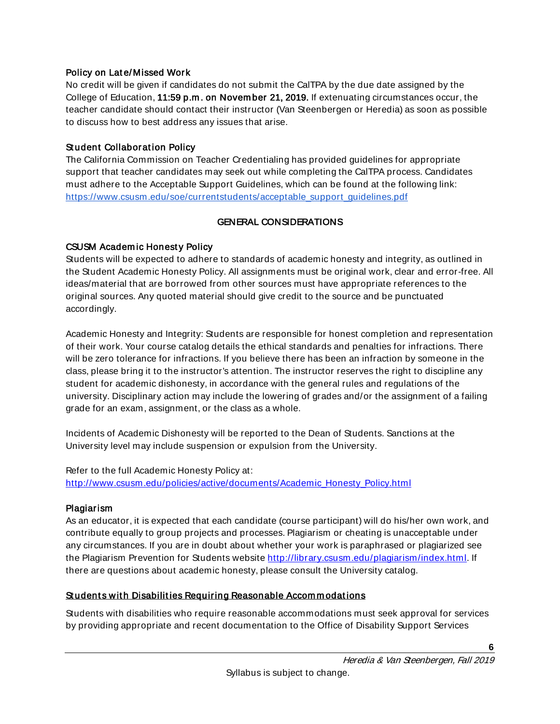#### <span id="page-5-0"></span>Policy on Lat e/ Missed Work

No credit will be given if candidates do not submit the CalTPA by the due date assigned by the College of Education, 11:59 p.m . on Novem ber 21, 2019. If extenuating circumstances occur, the teacher candidate should contact their instructor (Van Steenbergen or Heredia) as soon as possible to discuss how to best address any issues that arise.

#### <span id="page-5-1"></span>Student Collaboration Policy

The California Commission on Teacher Credentialing has provided guidelines for appropriate support that teacher candidates may seek out while completing the CalTPA process. Candidates must adhere to the Acceptable Support Guidelines, which can be found at the following link: https://www.csusm.edu/soe/currentstudents/acceptable\_support\_quidelines.pdf

## GENERAL CONSIDERATIONS

## <span id="page-5-3"></span><span id="page-5-2"></span>CSUSM Academic Honesty Policy

Students will be expected to adhere to standards of academic honesty and integrity, as outlined in the Student Academic Honesty Policy. All assignments must be original work, clear and error-free. All ideas/material that are borrowed from other sources must have appropriate references to the original sources. Any quoted material should give credit to the source and be punctuated accordingly.

Academic Honesty and Integrity: Students are responsible for honest completion and representation of their work. Your course catalog details the ethical standards and penalties for infractions. There will be zero tolerance for infractions. If you believe there has been an infraction by someone in the class, please bring it to the instructor's attention. The instructor reserves the right to discipline any student for academic dishonesty, in accordance with the general rules and regulations of the university. Disciplinary action may include the lowering of grades and/or the assignment of a failing grade for an exam, assignment, or the class as a whole.

Incidents of Academic Dishonesty will be reported to the Dean of Students. Sanctions at the University level may include suspension or expulsion from the University.

Refer to the full Academic Honesty Policy at: [http://www.csusm.edu/policies/active/documents/Academic\\_Honesty\\_Policy.html](http://www.csusm.edu/policies/active/documents/Academic_Honesty_Policy.html)

#### <span id="page-5-4"></span>Plagiarism

As an educator, it is expected that each candidate (course participant) will do his/her own work, and contribute equally to group projects and processes. Plagiarism or cheating is unacceptable under any circumstances. If you are in doubt about whether your work is paraphrased or plagiarized see the Plagiarism Prevention for Students website [http://library.csusm.edu/plagiarism/index.html.](http://library.csusm.edu/plagiarism/index.html) If there are questions about academic honesty, please consult the University catalog.

# Students with Disabilities Requiring Reasonable Accommodations

Students with disabilities who require reasonable accommodations must seek approval for services by providing appropriate and recent documentation to the Office of Disability Support Services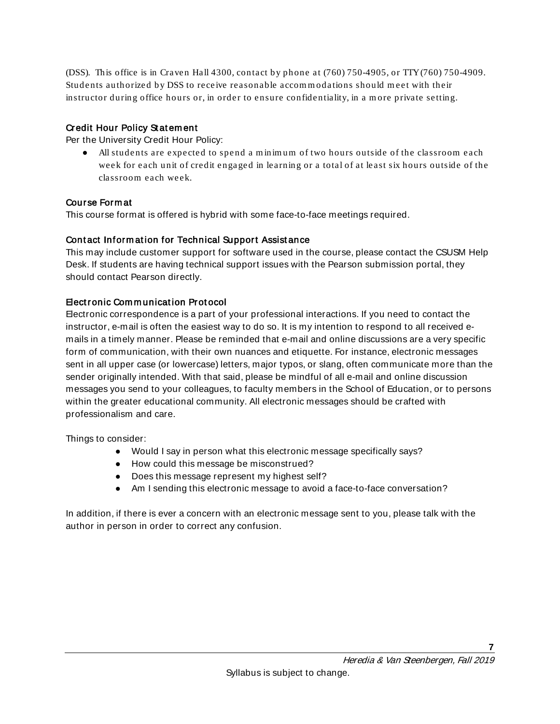(DSS). This office is in Craven Hall 4300, contact by phone at (760) 750-4905, or TTY (760) 750-4909. Students auth orized by DSS to receive reasonable accom m odations should m eet with their instructor during office hours or, in order to ensure confidentiality, in a more private setting.

#### <span id="page-6-0"></span>Credit Hour Policy Statement

Per the University Credit Hour Policy:

• All students are expected to spend a minimum of two hours outside of the classroom each week for each unit of credit engaged in learning or a total of at least six hours outside of the classroom each week.

#### <span id="page-6-1"></span>Course Form at

This course format is offered is hybrid with some face-to-face meetings required.

## <span id="page-6-2"></span>Contact Information for Technical Support Assistance

This may include customer support for software used in the course, please contact the CSUSM Help Desk. If students are having technical support issues with the Pearson submission portal, they should contact Pearson directly.

## <span id="page-6-3"></span>Elect ronic Com m unicat ion Prot ocol

Electronic correspondence is a part of your professional interactions. If you need to contact the instructor, e-mail is often the easiest way to do so. It is my intention to respond to all received emails in a timely manner. Please be reminded that e-mail and online discussions are a very specific form of communication, with their own nuances and etiquette. For instance, electronic messages sent in all upper case (or lowercase) letters, major typos, or slang, often communicate more than the sender originally intended. With that said, please be mindful of all e-mail and online discussion messages you send to your colleagues, to faculty members in the School of Education, or to persons within the greater educational community. All electronic messages should be crafted with professionalism and care.

Things to consider:

- Would I say in person what this electronic message specifically says?
- How could this message be misconstrued?
- Does this message represent my highest self?
- Am I sending this electronic message to avoid a face-to-face conversation?

In addition, if there is ever a concern with an electronic message sent to you, please talk with the author in person in order to correct any confusion.

**7**